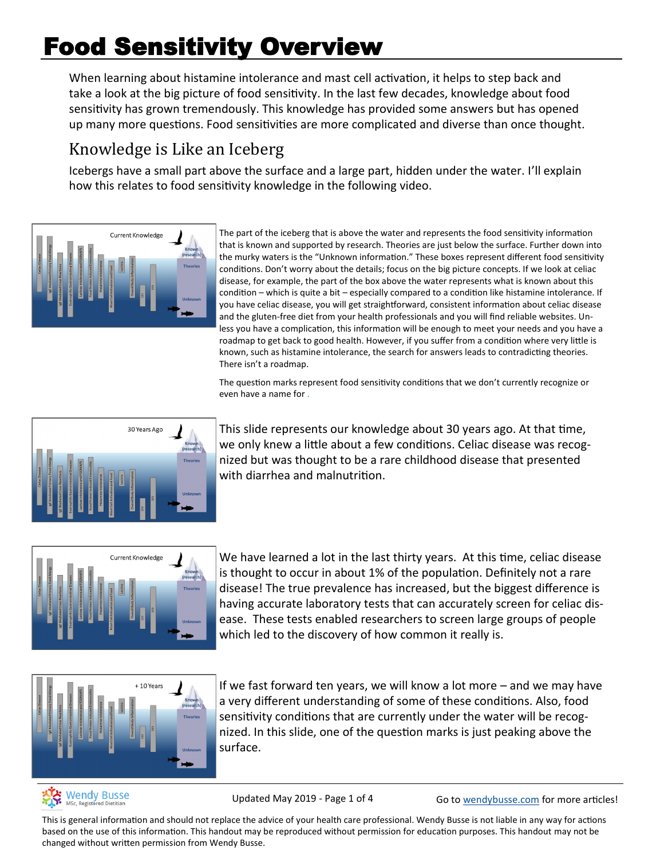# Food Sensitivity Overview

When learning about histamine intolerance and mast cell activation, it helps to step back and take a look at the big picture of food sensitivity. In the last few decades, knowledge about food sensitivity has grown tremendously. This knowledge has provided some answers but has opened up many more questions. Food sensitivities are more complicated and diverse than once thought.

# Knowledge is Like an Iceberg

Icebergs have a small part above the surface and a large part, hidden under the water. I'll explain how this relates to food sensitivity knowledge in the following video.



The part of the iceberg that is above the water and represents the food sensitivity information that is known and supported by research. Theories are just below the surface. Further down into the murky waters is the "Unknown information." These boxes represent different food sensitivity conditions. Don't worry about the details; focus on the big picture concepts. If we look at celiac disease, for example, the part of the box above the water represents what is known about this condition – which is quite a bit – especially compared to a condition like histamine intolerance. If you have celiac disease, you will get straightforward, consistent information about celiac disease and the gluten-free diet from your health professionals and you will find reliable websites. Unless you have a complication, this information will be enough to meet your needs and you have a roadmap to get back to good health. However, if you suffer from a condition where very little is known, such as histamine intolerance, the search for answers leads to contradicting theories. There isn't a roadmap.

The question marks represent food sensitivity conditions that we don't currently recognize or even have a name for .



This slide represents our knowledge about 30 years ago. At that time, we only knew a little about a few conditions. Celiac disease was recognized but was thought to be a rare childhood disease that presented with diarrhea and malnutrition.



We have learned a lot in the last thirty years. At this time, celiac disease is thought to occur in about 1% of the population. Definitely not a rare disease! The true prevalence has increased, but the biggest difference is having accurate laboratory tests that can accurately screen for celiac disease. These tests enabled researchers to screen large groups of people which led to the discovery of how common it really is.



If we fast forward ten years, we will know a lot more – and we may have a very different understanding of some of these conditions. Also, food sensitivity conditions that are currently under the water will be recognized. In this slide, one of the question marks is just peaking above the surface.



Updated May 2019 - Page 1 of 4 Go to [wendybusse.com](http://www.wendybusse.com/) for more articles!

This is general information and should not replace the advice of your health care professional. Wendy Busse is not liable in any way for actions based on the use of this information. This handout may be reproduced without permission for education purposes. This handout may not be changed without written permission from Wendy Busse.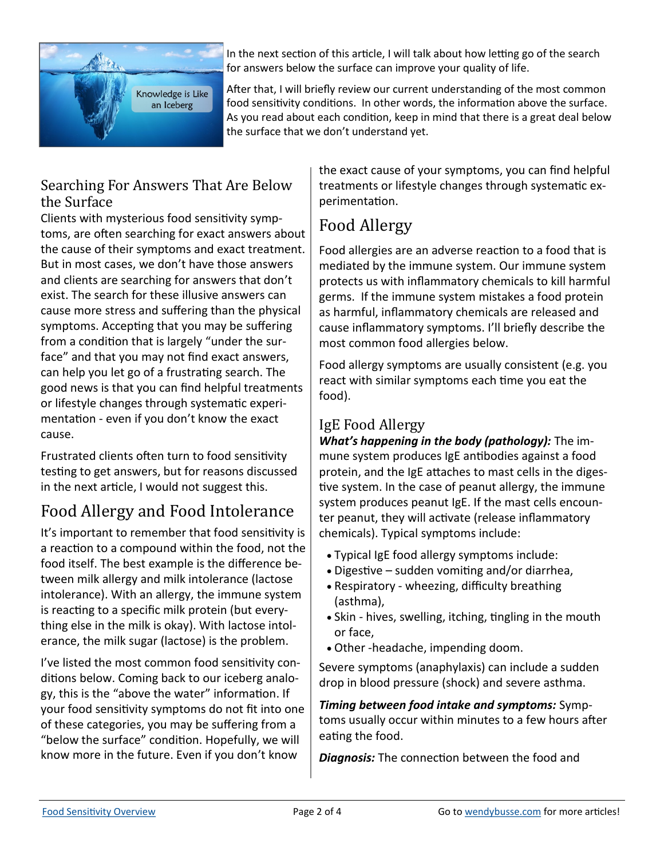

In the next section of this article, I will talk about how letting go of the search for answers below the surface can improve your quality of life.

After that, I will briefly review our current understanding of the most common food sensitivity conditions. In other words, the information above the surface. As you read about each condition, keep in mind that there is a great deal below the surface that we don't understand yet.

### Searching For Answers That Are Below the Surface

Clients with mysterious food sensitivity symptoms, are often searching for exact answers about the cause of their symptoms and exact treatment. But in most cases, we don't have those answers and clients are searching for answers that don't exist. The search for these illusive answers can cause more stress and suffering than the physical symptoms. Accepting that you may be suffering from a condition that is largely "under the surface" and that you may not find exact answers, can help you let go of a frustrating search. The good news is that you can find helpful treatments or lifestyle changes through systematic experimentation - even if you don't know the exact cause.

Frustrated clients often turn to food sensitivity testing to get answers, but for reasons discussed in the next article, I would not suggest this.

# Food Allergy and Food Intolerance

It's important to remember that food sensitivity is a reaction to a compound within the food, not the food itself. The best example is the difference between milk allergy and milk intolerance (lactose intolerance). With an allergy, the immune system is reacting to a specific milk protein (but everything else in the milk is okay). With lactose intolerance, the milk sugar (lactose) is the problem.

I've listed the most common food sensitivity conditions below. Coming back to our iceberg analogy, this is the "above the water" information. If your food sensitivity symptoms do not fit into one of these categories, you may be suffering from a "below the surface" condition. Hopefully, we will know more in the future. Even if you don't know

the exact cause of your symptoms, you can find helpful treatments or lifestyle changes through systematic experimentation.

# Food Allergy

Food allergies are an adverse reaction to a food that is mediated by the immune system. Our immune system protects us with inflammatory chemicals to kill harmful germs. If the immune system mistakes a food protein as harmful, inflammatory chemicals are released and cause inflammatory symptoms. I'll briefly describe the most common food allergies below.

Food allergy symptoms are usually consistent (e.g. you react with similar symptoms each time you eat the food).

# IgE Food Allergy

*What's happening in the body (pathology):* The immune system produces IgE antibodies against a food protein, and the IgE attaches to mast cells in the digestive system. In the case of peanut allergy, the immune system produces peanut IgE. If the mast cells encounter peanut, they will activate (release inflammatory chemicals). Typical symptoms include:

- Typical IgE food allergy symptoms include:
- Digestive sudden vomiting and/or diarrhea,
- Respiratory wheezing, difficulty breathing (asthma),
- Skin hives, swelling, itching, tingling in the mouth or face,
- Other -headache, impending doom.

Severe symptoms (anaphylaxis) can include a sudden drop in blood pressure (shock) and severe asthma.

*Timing between food intake and symptoms:* Symptoms usually occur within minutes to a few hours after eating the food.

*Diagnosis:* The connection between the food and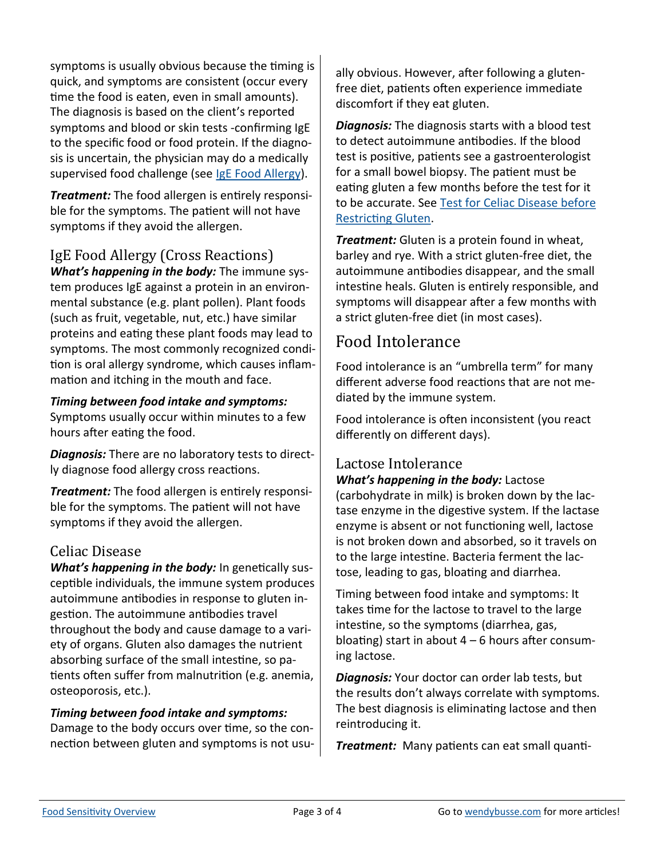symptoms is usually obvious because the timing is quick, and symptoms are consistent (occur every time the food is eaten, even in small amounts). The diagnosis is based on the client's reported symptoms and blood or skin tests -confirming IgE to the specific food or food protein. If the diagnosis is uncertain, the physician may do a medically supervised food challenge (see [IgE Food Allergy\).](https://wendybusse.com/ige-food-allergy/)

*Treatment:* The food allergen is entirely responsible for the symptoms. The patient will not have symptoms if they avoid the allergen.

# IgE Food Allergy (Cross Reactions)

*What's happening in the body:* The immune system produces IgE against a protein in an environmental substance (e.g. plant pollen). Plant foods (such as fruit, vegetable, nut, etc.) have similar proteins and eating these plant foods may lead to symptoms. The most commonly recognized condition is oral allergy syndrome, which causes inflammation and itching in the mouth and face.

#### *Timing between food intake and symptoms:*

Symptoms usually occur within minutes to a few hours after eating the food.

*Diagnosis:* There are no laboratory tests to directly diagnose food allergy cross reactions.

*Treatment:* The food allergen is entirely responsible for the symptoms. The patient will not have symptoms if they avoid the allergen.

#### Celiac Disease

*What's happening in the body:* In genetically susceptible individuals, the immune system produces autoimmune antibodies in response to gluten ingestion. The autoimmune antibodies travel throughout the body and cause damage to a variety of organs. Gluten also damages the nutrient absorbing surface of the small intestine, so patients often suffer from malnutrition (e.g. anemia, osteoporosis, etc.).

#### *Timing between food intake and symptoms:*

Damage to the body occurs over time, so the connection between gluten and symptoms is not usually obvious. However, after following a glutenfree diet, patients often experience immediate discomfort if they eat gluten.

*Diagnosis:* The diagnosis starts with a blood test to detect autoimmune antibodies. If the blood test is positive, patients see a gastroenterologist for a small bowel biopsy. The patient must be eating gluten a few months before the test for it to be accurate. See [Test for Celiac Disease before](https://wendybusse.com/celiac-test/)  [Restricting Gluten.](https://wendybusse.com/celiac-test/)

*Treatment:* Gluten is a protein found in wheat, barley and rye. With a strict gluten-free diet, the autoimmune antibodies disappear, and the small intestine heals. Gluten is entirely responsible, and symptoms will disappear after a few months with a strict gluten-free diet (in most cases).

## Food Intolerance

Food intolerance is an "umbrella term" for many different adverse food reactions that are not mediated by the immune system.

Food intolerance is often inconsistent (you react differently on different days).

#### Lactose Intolerance

*What's happening in the body:* Lactose (carbohydrate in milk) is broken down by the lactase enzyme in the digestive system. If the lactase enzyme is absent or not functioning well, lactose is not broken down and absorbed, so it travels on to the large intestine. Bacteria ferment the lactose, leading to gas, bloating and diarrhea.

Timing between food intake and symptoms: It takes time for the lactose to travel to the large intestine, so the symptoms (diarrhea, gas, bloating) start in about  $4 - 6$  hours after consuming lactose.

*Diagnosis:* Your doctor can order lab tests, but the results don't always correlate with symptoms. The best diagnosis is eliminating lactose and then reintroducing it.

*Treatment:* Many patients can eat small quanti-